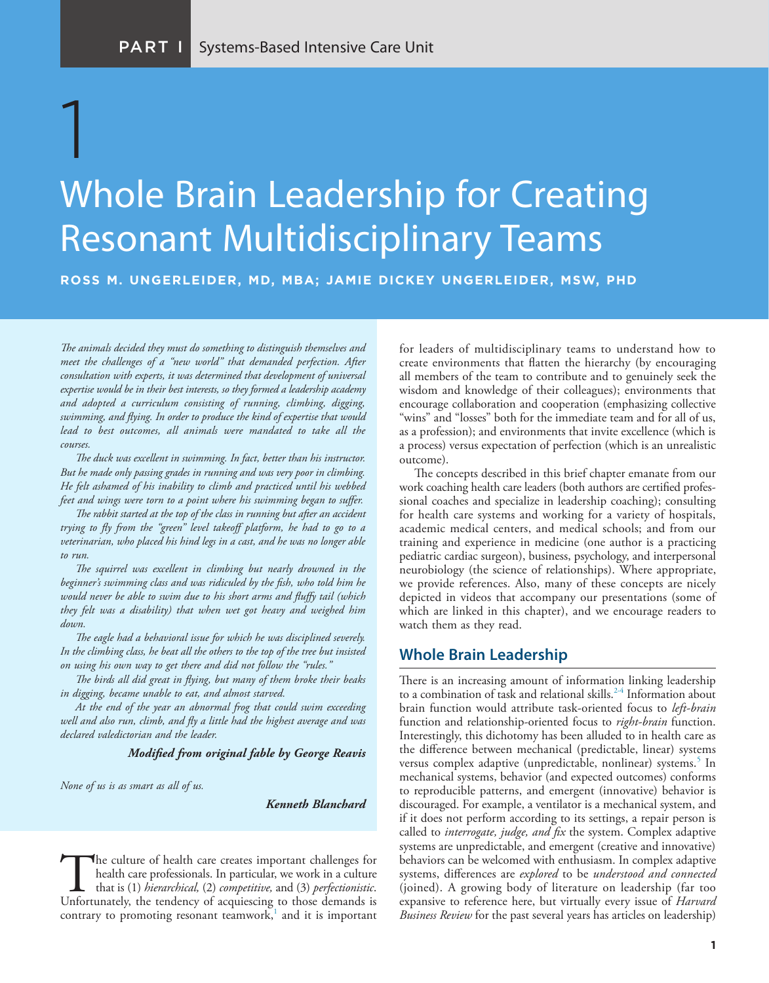# 1 Whole Brain Leadership for Creating Resonant Multidisciplinary Teams

**ROSS M. UNGERLEIDER, MD, MBA; JAMIE DICKEY UNGERLEIDER, MSW, PHD**

*The animals decided they must do something to distinguish themselves and meet the challenges of a "new world" that demanded perfection. After consultation with experts, it was determined that development of universal expertise would be in their best interests, so they formed a leadership academy and adopted a curriculum consisting of running, climbing, digging, swimming, and flying. In order to produce the kind of expertise that would lead to best outcomes, all animals were mandated to take all the courses.*

*The duck was excellent in swimming. In fact, better than his instructor. But he made only passing grades in running and was very poor in climbing. He felt ashamed of his inability to climb and practiced until his webbed feet and wings were torn to a point where his swimming began to suffer.*

*The rabbit started at the top of the class in running but after an accident trying to fly from the "green" level takeoff platform, he had to go to a veterinarian, who placed his hind legs in a cast, and he was no longer able to run.*

*The squirrel was excellent in climbing but nearly drowned in the beginner's swimming class and was ridiculed by the fish, who told him he would never be able to swim due to his short arms and fluffy tail (which they felt was a disability) that when wet got heavy and weighed him down.*

*The eagle had a behavioral issue for which he was disciplined severely. In the climbing class, he beat all the others to the top of the tree but insisted on using his own way to get there and did not follow the "rules."*

*The birds all did great in flying, but many of them broke their beaks in digging, became unable to eat, and almost starved.*

*At the end of the year an abnormal frog that could swim exceeding well and also run, climb, and fly a little had the highest average and was declared valedictorian and the leader.*

#### *Modified from original fable by George Reavis*

*None of us is as smart as all of us.*

*Kenneth Blanchard*

The culture of health care creates important challenges for health care professionals. In particular, we work in a culture that is (1) *hierarchical*, (2) *competitive*, and (3) *perfectionistic*. Unfortunately, the tenden health care professionals. In particular, we work in a culture that is (1) *hierarchical,* (2) *competitive,* and (3) *perfectionistic*. contrary to promoting resonant teamwork,<sup>[1](#page-10-0)</sup> and it is important for leaders of multidisciplinary teams to understand how to create environments that flatten the hierarchy (by encouraging all members of the team to contribute and to genuinely seek the wisdom and knowledge of their colleagues); environments that encourage collaboration and cooperation (emphasizing collective "wins" and "losses" both for the immediate team and for all of us, as a profession); and environments that invite excellence (which is a process) versus expectation of perfection (which is an unrealistic outcome).

The concepts described in this brief chapter emanate from our work coaching health care leaders (both authors are certified professional coaches and specialize in leadership coaching); consulting for health care systems and working for a variety of hospitals, academic medical centers, and medical schools; and from our training and experience in medicine (one author is a practicing pediatric cardiac surgeon), business, psychology, and interpersonal neurobiology (the science of relationships). Where appropriate, we provide references. Also, many of these concepts are nicely depicted in videos that accompany our presentations (some of which are linked in this chapter), and we encourage readers to watch them as they read.

#### **Whole Brain Leadership**

There is an increasing amount of information linking leadership to a combination of task and relational skills.<sup>2-4</sup> Information about brain function would attribute task-oriented focus to *left-brain* function and relationship-oriented focus to *right-brain* function. Interestingly, this dichotomy has been alluded to in health care as the difference between mechanical (predictable, linear) systems versus complex adaptive (unpredictable, nonlinear) systems.<sup>[5](#page-10-2)</sup> In mechanical systems, behavior (and expected outcomes) conforms to reproducible patterns, and emergent (innovative) behavior is discouraged. For example, a ventilator is a mechanical system, and if it does not perform according to its settings, a repair person is called to *interrogate, judge, and fix* the system. Complex adaptive systems are unpredictable, and emergent (creative and innovative) behaviors can be welcomed with enthusiasm. In complex adaptive systems, differences are *explored* to be *understood and connected* (joined). A growing body of literature on leadership (far too expansive to reference here, but virtually every issue of *Harvard Business Review* for the past several years has articles on leadership)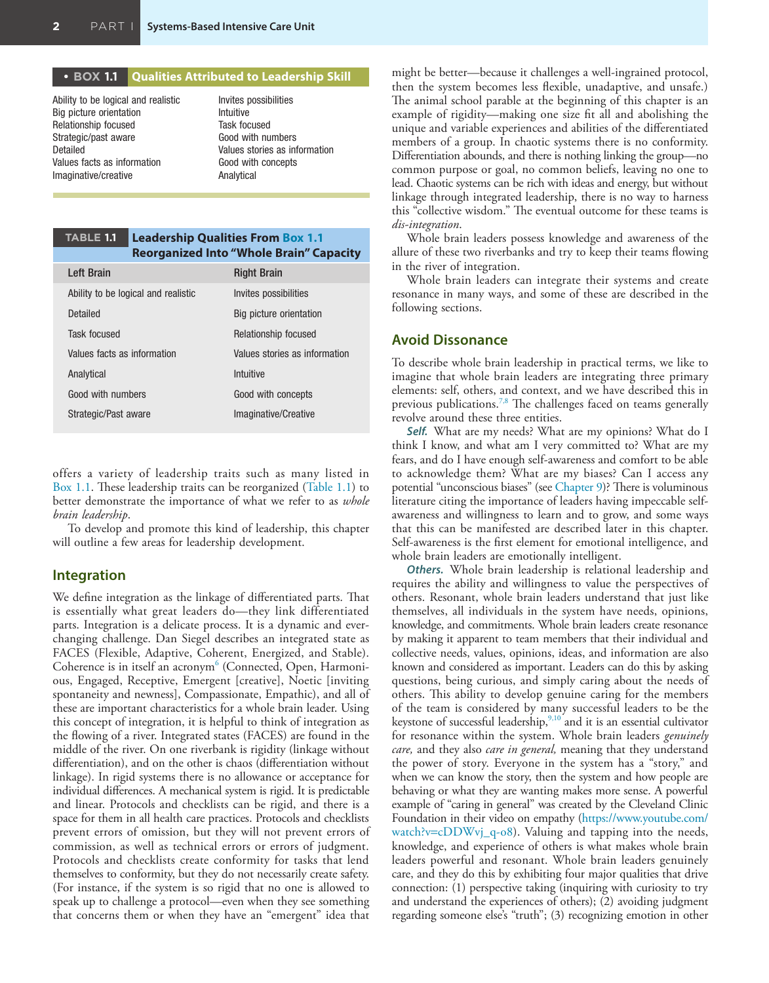#### <span id="page-1-0"></span>**• BOX 1.1 Qualities Attributed to Leadership Skill**

Ability to be logical and realistic Big picture orientation Relationship focused Strategic/past aware **Detailed** Values facts as information Imaginative/creative

Invites possibilities Intuitive Task focused Good with numbers Values stories as information Good with concepts Analytical

#### <span id="page-1-1"></span>**Leadership Qualities From [Box 1.1](#page-1-0) Reorganized Into "Whole Brain" Capacity TABLE 1.1**

| Left Brain                          | <b>Right Brain</b>            |
|-------------------------------------|-------------------------------|
| Ability to be logical and realistic | Invites possibilities         |
| Detailed                            | Big picture orientation       |
| <b>Task focused</b>                 | Relationship focused          |
| Values facts as information         | Values stories as information |
| Analytical                          | Intuitive                     |
| Good with numbers                   | Good with concepts            |
| Strategic/Past aware                | Imaginative/Creative          |

offers a variety of leadership traits such as many listed in [Box 1.1](#page-1-0). These leadership traits can be reorganized ([Table 1.1](#page-1-1)) to better demonstrate the importance of what we refer to as *whole brain leadership*.

To develop and promote this kind of leadership, this chapter will outline a few areas for leadership development.

#### **Integration**

We define integration as the linkage of differentiated parts. That is essentially what great leaders do—they link differentiated parts. Integration is a delicate process. It is a dynamic and everchanging challenge. Dan Siegel describes an integrated state as FACES (Flexible, Adaptive, Coherent, Energized, and Stable). Coherence is in itself an acronym $^6$  $^6$  (Connected, Open, Harmonious, Engaged, Receptive, Emergent [creative], Noetic [inviting spontaneity and newness], Compassionate, Empathic), and all of these are important characteristics for a whole brain leader. Using this concept of integration, it is helpful to think of integration as the flowing of a river. Integrated states (FACES) are found in the middle of the river. On one riverbank is rigidity (linkage without differentiation), and on the other is chaos (differentiation without linkage). In rigid systems there is no allowance or acceptance for individual differences. A mechanical system is rigid. It is predictable and linear. Protocols and checklists can be rigid, and there is a space for them in all health care practices. Protocols and checklists prevent errors of omission, but they will not prevent errors of commission, as well as technical errors or errors of judgment. Protocols and checklists create conformity for tasks that lend themselves to conformity, but they do not necessarily create safety. (For instance, if the system is so rigid that no one is allowed to speak up to challenge a protocol—even when they see something that concerns them or when they have an "emergent" idea that

might be better—because it challenges a well-ingrained protocol, then the system becomes less flexible, unadaptive, and unsafe.) The animal school parable at the beginning of this chapter is an example of rigidity—making one size fit all and abolishing the unique and variable experiences and abilities of the differentiated members of a group. In chaotic systems there is no conformity. Differentiation abounds, and there is nothing linking the group—no common purpose or goal, no common beliefs, leaving no one to lead. Chaotic systems can be rich with ideas and energy, but without linkage through integrated leadership, there is no way to harness this "collective wisdom." The eventual outcome for these teams is *dis-integration*.

Whole brain leaders possess knowledge and awareness of the allure of these two riverbanks and try to keep their teams flowing in the river of integration.

Whole brain leaders can integrate their systems and create resonance in many ways, and some of these are described in the following sections.

#### **Avoid Dissonance**

To describe whole brain leadership in practical terms, we like to imagine that whole brain leaders are integrating three primary elements: self, others, and context, and we have described this in previous publications.<sup>7,8</sup> The challenges faced on teams generally revolve around these three entities.

**Self.** What are my needs? What are my opinions? What do I think I know, and what am I very committed to? What are my fears, and do I have enough self-awareness and comfort to be able to acknowledge them? What are my biases? Can I access any potential "unconscious biases" (see Chapter 9)? There is voluminous literature citing the importance of leaders having impeccable selfawareness and willingness to learn and to grow, and some ways that this can be manifested are described later in this chapter. Self-awareness is the first element for emotional intelligence, and whole brain leaders are emotionally intelligent.

*Others.* Whole brain leadership is relational leadership and requires the ability and willingness to value the perspectives of others. Resonant, whole brain leaders understand that just like themselves, all individuals in the system have needs, opinions, knowledge, and commitments. Whole brain leaders create resonance by making it apparent to team members that their individual and collective needs, values, opinions, ideas, and information are also known and considered as important. Leaders can do this by asking questions, being curious, and simply caring about the needs of others. This ability to develop genuine caring for the members of the team is considered by many successful leaders to be the keystone of successful leadership,<sup>9,10</sup> and it is an essential cultivator for resonance within the system. Whole brain leaders *genuinely care,* and they also *care in general,* meaning that they understand the power of story. Everyone in the system has a "story," and when we can know the story, then the system and how people are behaving or what they are wanting makes more sense. A powerful example of "caring in general" was created by the Cleveland Clinic Foundation in their video on empathy [\(https://www.youtube.com/](https://www.youtube.com/watch?v=cDDWvj_q-o8) watch?v=[cDDWvj\\_q-o8](https://www.youtube.com/watch?v=cDDWvj_q-o8)). Valuing and tapping into the needs, knowledge, and experience of others is what makes whole brain leaders powerful and resonant. Whole brain leaders genuinely care, and they do this by exhibiting four major qualities that drive connection: (1) perspective taking (inquiring with curiosity to try and understand the experiences of others); (2) avoiding judgment regarding someone else's "truth"; (3) recognizing emotion in other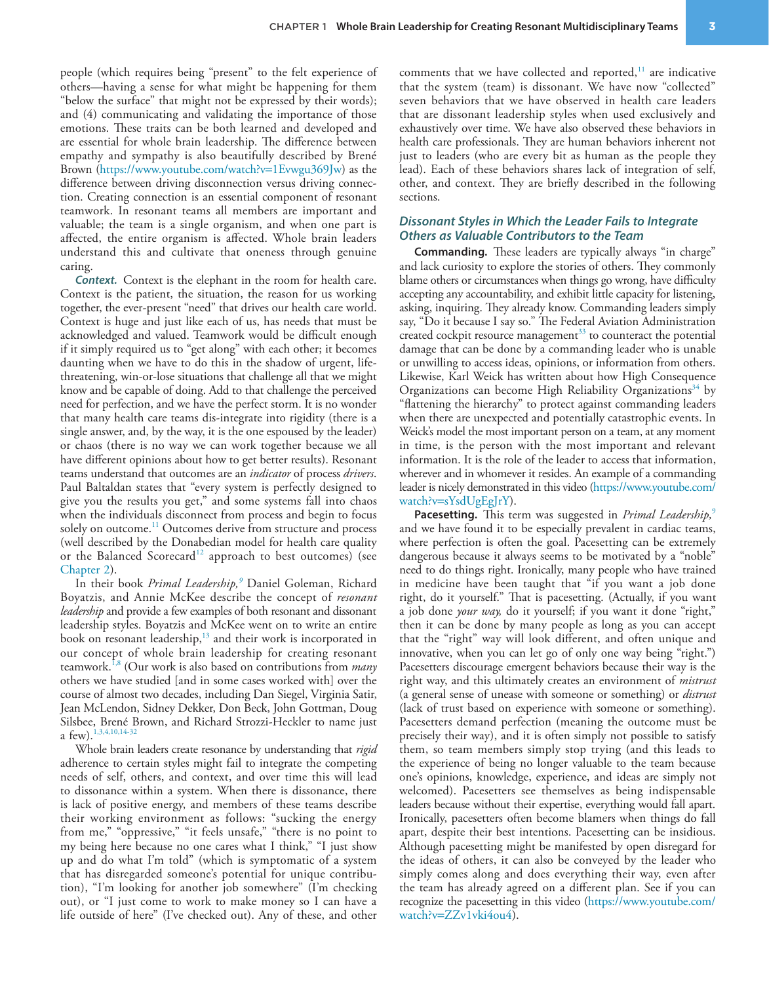people (which requires being "present" to the felt experience of others—having a sense for what might be happening for them "below the surface" that might not be expressed by their words); and (4) communicating and validating the importance of those emotions. These traits can be both learned and developed and are essential for whole brain leadership. The difference between empathy and sympathy is also beautifully described by Brené Brown [\(https://www.youtube.com/watch?v](https://www.youtube.com/watch?v=1Evwgu369Jw)=1Evwgu369Jw) as the difference between driving disconnection versus driving connection. Creating connection is an essential component of resonant teamwork. In resonant teams all members are important and valuable; the team is a single organism, and when one part is affected, the entire organism is affected. Whole brain leaders understand this and cultivate that oneness through genuine caring.

*Context.* Context is the elephant in the room for health care. Context is the patient, the situation, the reason for us working together, the ever-present "need" that drives our health care world. Context is huge and just like each of us, has needs that must be acknowledged and valued. Teamwork would be difficult enough if it simply required us to "get along" with each other; it becomes daunting when we have to do this in the shadow of urgent, lifethreatening, win-or-lose situations that challenge all that we might know and be capable of doing. Add to that challenge the perceived need for perfection, and we have the perfect storm. It is no wonder that many health care teams dis-integrate into rigidity (there is a single answer, and, by the way, it is the one espoused by the leader) or chaos (there is no way we can work together because we all have different opinions about how to get better results). Resonant teams understand that outcomes are an *indicator* of process *drivers*. Paul Baltaldan states that "every system is perfectly designed to give you the results you get," and some systems fall into chaos when the individuals disconnect from process and begin to focus solely on outcome.<sup>11</sup> Outcomes derive from structure and process (well described by the Donabedian model for health care quality or the Balanced Scorecard<sup>[12](#page-10-7)</sup> approach to best outcomes) (see Chapter 2).

In their book *Primal Leadership,[9](#page-10-5)* Daniel Goleman, Richard Boyatzis, and Annie McKee describe the concept of *resonant leadership* and provide a few examples of both resonant and dissonant leadership styles. Boyatzis and McKee went on to write an entire book on resonant leadership,<sup>13</sup> and their work is incorporated in our concept of whole brain leadership for creating resonant teamwork.[1,8](#page-10-0) (Our work is also based on contributions from *many* others we have studied [and in some cases worked with] over the course of almost two decades, including Dan Siegel, Virginia Satir, Jean McLendon, Sidney Dekker, Don Beck, John Gottman, Doug Silsbee, Brené Brown, and Richard Strozzi-Heckler to name just a few).<sup>[1,3,4,10,14-32](#page-10-0)</sup>

Whole brain leaders create resonance by understanding that *rigid* adherence to certain styles might fail to integrate the competing needs of self, others, and context, and over time this will lead to dissonance within a system. When there is dissonance, there is lack of positive energy, and members of these teams describe their working environment as follows: "sucking the energy from me," "oppressive," "it feels unsafe," "there is no point to my being here because no one cares what I think," "I just show up and do what I'm told" (which is symptomatic of a system that has disregarded someone's potential for unique contribution), "I'm looking for another job somewhere" (I'm checking out), or "I just come to work to make money so I can have a life outside of here" (I've checked out). Any of these, and other

comments that we have collected and reported, $11$  are indicative that the system (team) is dissonant. We have now "collected" seven behaviors that we have observed in health care leaders that are dissonant leadership styles when used exclusively and exhaustively over time. We have also observed these behaviors in health care professionals. They are human behaviors inherent not just to leaders (who are every bit as human as the people they lead). Each of these behaviors shares lack of integration of self, other, and context. They are briefly described in the following sections.

#### *Dissonant Styles in Which the Leader Fails to Integrate Others as Valuable Contributors to the Team*

**Commanding.** These leaders are typically always "in charge" and lack curiosity to explore the stories of others. They commonly blame others or circumstances when things go wrong, have difficulty accepting any accountability, and exhibit little capacity for listening, asking, inquiring. They already know. Commanding leaders simply say, "Do it because I say so." The Federal Aviation Administration created cockpit resource management $33$  to counteract the potential damage that can be done by a commanding leader who is unable or unwilling to access ideas, opinions, or information from others. Likewise, Karl Weick has written about how High Consequence Organizations can become High Reliability Organizations<sup>[34](#page-10-10)</sup> by "flattening the hierarchy" to protect against commanding leaders when there are unexpected and potentially catastrophic events. In Weick's model the most important person on a team, at any moment in time, is the person with the most important and relevant information. It is the role of the leader to access that information, wherever and in whomever it resides. An example of a commanding leader is nicely demonstrated in this video [\(https://www.youtube.com/](https://www.youtube.com/watch?v=sYsdUgEgJrY) watch?v=[sYsdUgEgJrY\)](https://www.youtube.com/watch?v=sYsdUgEgJrY).

Pacesetting. This term was suggested in *Primal Leadership*,<sup>[9](#page-10-5)</sup> and we have found it to be especially prevalent in cardiac teams, where perfection is often the goal. Pacesetting can be extremely dangerous because it always seems to be motivated by a "noble" need to do things right. Ironically, many people who have trained in medicine have been taught that "if you want a job done right, do it yourself." That is pacesetting. (Actually, if you want a job done *your way,* do it yourself; if you want it done "right," then it can be done by many people as long as you can accept that the "right" way will look different, and often unique and innovative, when you can let go of only one way being "right.") Pacesetters discourage emergent behaviors because their way is the right way, and this ultimately creates an environment of *mistrust* (a general sense of unease with someone or something) or *distrust* (lack of trust based on experience with someone or something). Pacesetters demand perfection (meaning the outcome must be precisely their way), and it is often simply not possible to satisfy them, so team members simply stop trying (and this leads to the experience of being no longer valuable to the team because one's opinions, knowledge, experience, and ideas are simply not welcomed). Pacesetters see themselves as being indispensable leaders because without their expertise, everything would fall apart. Ironically, pacesetters often become blamers when things do fall apart, despite their best intentions. Pacesetting can be insidious. Although pacesetting might be manifested by open disregard for the ideas of others, it can also be conveyed by the leader who simply comes along and does everything their way, even after the team has already agreed on a different plan. See if you can recognize the pacesetting in this video [\(https://www.youtube.com/](https://www.youtube.com/watch?v=ZZv1vki4ou4) watch?v=[ZZv1vki4ou4\)](https://www.youtube.com/watch?v=ZZv1vki4ou4).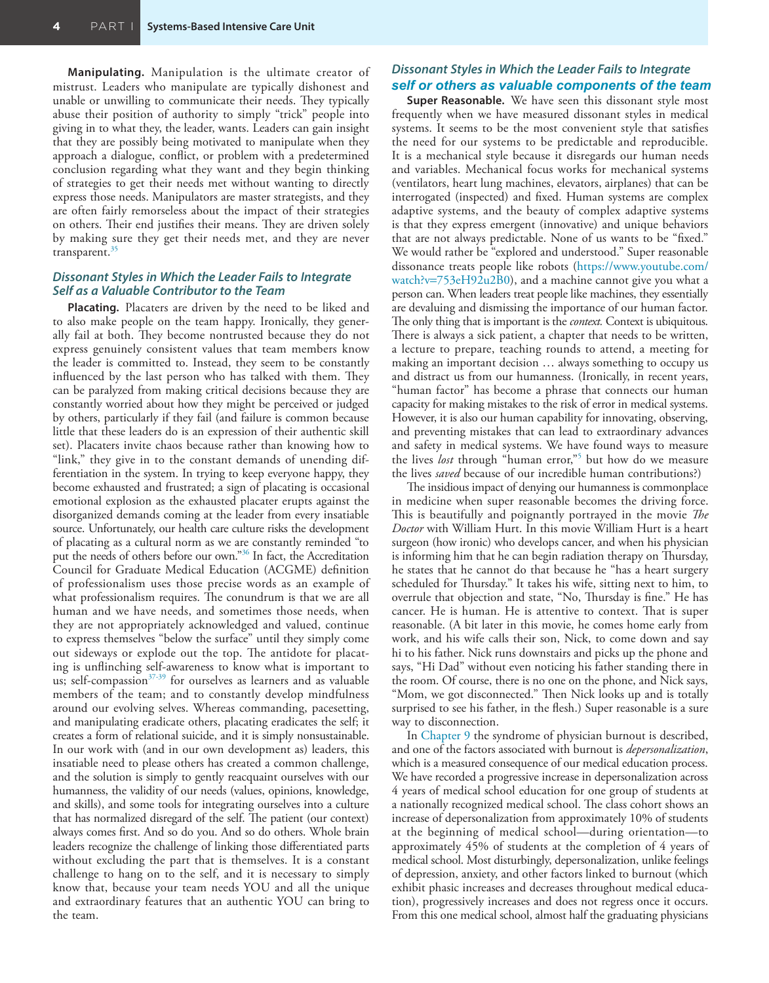**Manipulating.** Manipulation is the ultimate creator of mistrust. Leaders who manipulate are typically dishonest and unable or unwilling to communicate their needs. They typically abuse their position of authority to simply "trick" people into giving in to what they, the leader, wants. Leaders can gain insight that they are possibly being motivated to manipulate when they approach a dialogue, conflict, or problem with a predetermined conclusion regarding what they want and they begin thinking of strategies to get their needs met without wanting to directly express those needs. Manipulators are master strategists, and they are often fairly remorseless about the impact of their strategies on others. Their end justifies their means. They are driven solely by making sure they get their needs met, and they are never transparent.<sup>35</sup>

#### *Dissonant Styles in Which the Leader Fails to Integrate Self as a Valuable Contributor to the Team*

**Placating.** Placaters are driven by the need to be liked and to also make people on the team happy. Ironically, they generally fail at both. They become nontrusted because they do not express genuinely consistent values that team members know the leader is committed to. Instead, they seem to be constantly influenced by the last person who has talked with them. They can be paralyzed from making critical decisions because they are constantly worried about how they might be perceived or judged by others, particularly if they fail (and failure is common because little that these leaders do is an expression of their authentic skill set). Placaters invite chaos because rather than knowing how to "link," they give in to the constant demands of unending differentiation in the system. In trying to keep everyone happy, they become exhausted and frustrated; a sign of placating is occasional emotional explosion as the exhausted placater erupts against the disorganized demands coming at the leader from every insatiable source. Unfortunately, our health care culture risks the development of placating as a cultural norm as we are constantly reminded "to put the needs of others before our own."<sup>[36](#page-10-12)</sup> In fact, the Accreditation Council for Graduate Medical Education (ACGME) definition of professionalism uses those precise words as an example of what professionalism requires. The conundrum is that we are all human and we have needs, and sometimes those needs, when they are not appropriately acknowledged and valued, continue to express themselves "below the surface" until they simply come out sideways or explode out the top. The antidote for placating is unflinching self-awareness to know what is important to us; self-compassion $37-39$  for ourselves as learners and as valuable members of the team; and to constantly develop mindfulness around our evolving selves. Whereas commanding, pacesetting, and manipulating eradicate others, placating eradicates the self; it creates a form of relational suicide, and it is simply nonsustainable. In our work with (and in our own development as) leaders, this insatiable need to please others has created a common challenge, and the solution is simply to gently reacquaint ourselves with our humanness, the validity of our needs (values, opinions, knowledge, and skills), and some tools for integrating ourselves into a culture that has normalized disregard of the self. The patient (our context) always comes first. And so do you. And so do others. Whole brain leaders recognize the challenge of linking those differentiated parts without excluding the part that is themselves. It is a constant challenge to hang on to the self, and it is necessary to simply know that, because your team needs YOU and all the unique and extraordinary features that an authentic YOU can bring to the team.

# *Dissonant Styles in Which the Leader Fails to Integrate Context as a Valuable Component of the Team self or others as valuable components of the team*

**Super Reasonable.** We have seen this dissonant style most frequently when we have measured dissonant styles in medical systems. It seems to be the most convenient style that satisfies the need for our systems to be predictable and reproducible. It is a mechanical style because it disregards our human needs and variables. Mechanical focus works for mechanical systems (ventilators, heart lung machines, elevators, airplanes) that can be interrogated (inspected) and fixed. Human systems are complex adaptive systems, and the beauty of complex adaptive systems is that they express emergent (innovative) and unique behaviors that are not always predictable. None of us wants to be "fixed." We would rather be "explored and understood." Super reasonable dissonance treats people like robots [\(https://www.youtube.com/](https://www.youtube.com/watch?v=753eH92u2B0) watch?v=[753eH92u2B0](https://www.youtube.com/watch?v=753eH92u2B0)), and a machine cannot give you what a person can. When leaders treat people like machines, they essentially are devaluing and dismissing the importance of our human factor. The only thing that is important is the *context.* Context is ubiquitous. There is always a sick patient, a chapter that needs to be written, a lecture to prepare, teaching rounds to attend, a meeting for making an important decision … always something to occupy us and distract us from our humanness. (Ironically, in recent years, "human factor" has become a phrase that connects our human capacity for making mistakes to the risk of error in medical systems. However, it is also our human capability for innovating, observing, and preventing mistakes that can lead to extraordinary advances and safety in medical systems. We have found ways to measure the lives *lost* through "human error,"[5](#page-10-2) but how do we measure the lives *saved* because of our incredible human contributions?)

The insidious impact of denying our humanness is commonplace in medicine when super reasonable becomes the driving force. This is beautifully and poignantly portrayed in the movie *The Doctor* with William Hurt. In this movie William Hurt is a heart surgeon (how ironic) who develops cancer, and when his physician is informing him that he can begin radiation therapy on Thursday, he states that he cannot do that because he "has a heart surgery scheduled for Thursday." It takes his wife, sitting next to him, to overrule that objection and state, "No, Thursday is fine." He has cancer. He is human. He is attentive to context. That is super reasonable. (A bit later in this movie, he comes home early from work, and his wife calls their son, Nick, to come down and say hi to his father. Nick runs downstairs and picks up the phone and says, "Hi Dad" without even noticing his father standing there in the room. Of course, there is no one on the phone, and Nick says, "Mom, we got disconnected." Then Nick looks up and is totally surprised to see his father, in the flesh.) Super reasonable is a sure way to disconnection.

In Chapter 9 the syndrome of physician burnout is described, and one of the factors associated with burnout is *depersonalization*, which is a measured consequence of our medical education process. We have recorded a progressive increase in depersonalization across 4 years of medical school education for one group of students at a nationally recognized medical school. The class cohort shows an increase of depersonalization from approximately 10% of students at the beginning of medical school—during orientation—to approximately 45% of students at the completion of 4 years of medical school. Most disturbingly, depersonalization, unlike feelings of depression, anxiety, and other factors linked to burnout (which exhibit phasic increases and decreases throughout medical education), progressively increases and does not regress once it occurs. From this one medical school, almost half the graduating physicians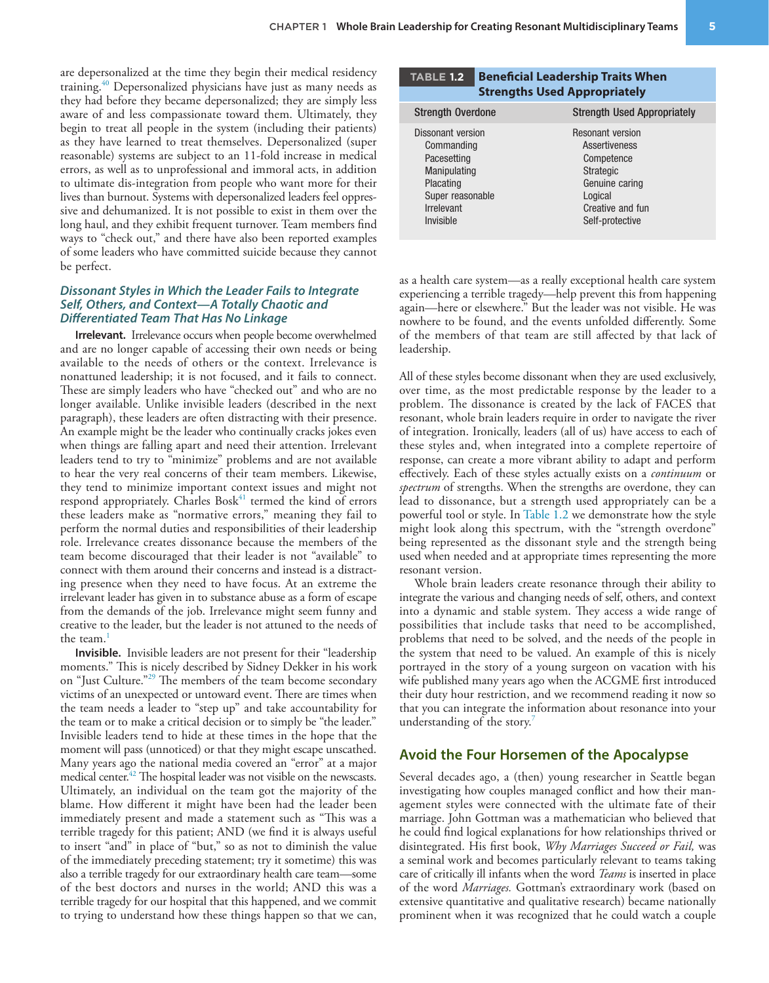are depersonalized at the time they begin their medical residency training.<sup>40</sup> Depersonalized physicians have just as many needs as they had before they became depersonalized; they are simply less aware of and less compassionate toward them. Ultimately, they begin to treat all people in the system (including their patients) as they have learned to treat themselves. Depersonalized (super reasonable) systems are subject to an 11-fold increase in medical errors, as well as to unprofessional and immoral acts, in addition to ultimate dis-integration from people who want more for their lives than burnout. Systems with depersonalized leaders feel oppressive and dehumanized. It is not possible to exist in them over the long haul, and they exhibit frequent turnover. Team members find ways to "check out," and there have also been reported examples of some leaders who have committed suicide because they cannot be perfect.

#### *Dissonant Styles in Which the Leader Fails to Integrate Self, Others, and Context—A Totally Chaotic and Differentiated Team That Has No Linkage*

**Irrelevant.** Irrelevance occurs when people become overwhelmed and are no longer capable of accessing their own needs or being available to the needs of others or the context. Irrelevance is nonattuned leadership; it is not focused, and it fails to connect. These are simply leaders who have "checked out" and who are no longer available. Unlike invisible leaders (described in the next paragraph), these leaders are often distracting with their presence. An example might be the leader who continually cracks jokes even when things are falling apart and need their attention. Irrelevant leaders tend to try to "minimize" problems and are not available to hear the very real concerns of their team members. Likewise, they tend to minimize important context issues and might not respond appropriately. Charles  $Bosk<sup>41</sup>$  termed the kind of errors these leaders make as "normative errors," meaning they fail to perform the normal duties and responsibilities of their leadership role. Irrelevance creates dissonance because the members of the team become discouraged that their leader is not "available" to connect with them around their concerns and instead is a distracting presence when they need to have focus. At an extreme the irrelevant leader has given in to substance abuse as a form of escape from the demands of the job. Irrelevance might seem funny and creative to the leader, but the leader is not attuned to the needs of the team.

**Invisible.** Invisible leaders are not present for their "leadership moments." This is nicely described by Sidney Dekker in his work on "Just Culture."[29](#page-10-16) The members of the team become secondary victims of an unexpected or untoward event. There are times when the team needs a leader to "step up" and take accountability for the team or to make a critical decision or to simply be "the leader." Invisible leaders tend to hide at these times in the hope that the moment will pass (unnoticed) or that they might escape unscathed. Many years ago the national media covered an "error" at a major medical center.<sup>[42](#page-10-17)</sup> The hospital leader was not visible on the newscasts. Ultimately, an individual on the team got the majority of the blame. How different it might have been had the leader been immediately present and made a statement such as "This was a terrible tragedy for this patient; AND (we find it is always useful to insert "and" in place of "but," so as not to diminish the value of the immediately preceding statement; try it sometime) this was also a terrible tragedy for our extraordinary health care team—some of the best doctors and nurses in the world; AND this was a terrible tragedy for our hospital that this happened, and we commit to trying to understand how these things happen so that we can,

<span id="page-4-0"></span>

| <b>Beneficial Leadership Traits When</b><br><b>TABLE 1.2</b><br><b>Strengths Used Appropriately</b> |  |                                    |  |
|-----------------------------------------------------------------------------------------------------|--|------------------------------------|--|
|                                                                                                     |  |                                    |  |
| <b>Strength Overdone</b>                                                                            |  | <b>Strength Used Appropriately</b> |  |
| Dissonant version                                                                                   |  | <b>Resonant version</b>            |  |
| Commanding                                                                                          |  | Assertiveness                      |  |
| Pacesetting                                                                                         |  | Competence                         |  |
| Manipulating                                                                                        |  | <b>Strategic</b>                   |  |
| Placating                                                                                           |  | Genuine caring                     |  |
| Super reasonable                                                                                    |  | Logical                            |  |
| Irrelevant                                                                                          |  | Creative and fun                   |  |
| Invisible                                                                                           |  | Self-protective                    |  |
|                                                                                                     |  |                                    |  |

as a health care system—as a really exceptional health care system experiencing a terrible tragedy—help prevent this from happening again—here or elsewhere." But the leader was not visible. He was nowhere to be found, and the events unfolded differently. Some of the members of that team are still affected by that lack of leadership.

All of these styles become dissonant when they are used exclusively, over time, as the most predictable response by the leader to a problem. The dissonance is created by the lack of FACES that resonant, whole brain leaders require in order to navigate the river of integration. Ironically, leaders (all of us) have access to each of these styles and, when integrated into a complete repertoire of response, can create a more vibrant ability to adapt and perform effectively. Each of these styles actually exists on a *continuum* or *spectrum* of strengths. When the strengths are overdone, they can lead to dissonance, but a strength used appropriately can be a powerful tool or style. In [Table 1.2](#page-4-0) we demonstrate how the style might look along this spectrum, with the "strength overdone" being represented as the dissonant style and the strength being used when needed and at appropriate times representing the more resonant version.

Whole brain leaders create resonance through their ability to integrate the various and changing needs of self, others, and context into a dynamic and stable system. They access a wide range of possibilities that include tasks that need to be accomplished, problems that need to be solved, and the needs of the people in the system that need to be valued. An example of this is nicely portrayed in the story of a young surgeon on vacation with his wife published many years ago when the ACGME first introduced their duty hour restriction, and we recommend reading it now so that you can integrate the information about resonance into your understanding of the story.<sup>7</sup>

### **Avoid the Four Horsemen of the Apocalypse**

Several decades ago, a (then) young researcher in Seattle began investigating how couples managed conflict and how their management styles were connected with the ultimate fate of their marriage. John Gottman was a mathematician who believed that he could find logical explanations for how relationships thrived or disintegrated. His first book, *Why Marriages Succeed or Fail,* was a seminal work and becomes particularly relevant to teams taking care of critically ill infants when the word *Teams* is inserted in place of the word *Marriages.* Gottman's extraordinary work (based on extensive quantitative and qualitative research) became nationally prominent when it was recognized that he could watch a couple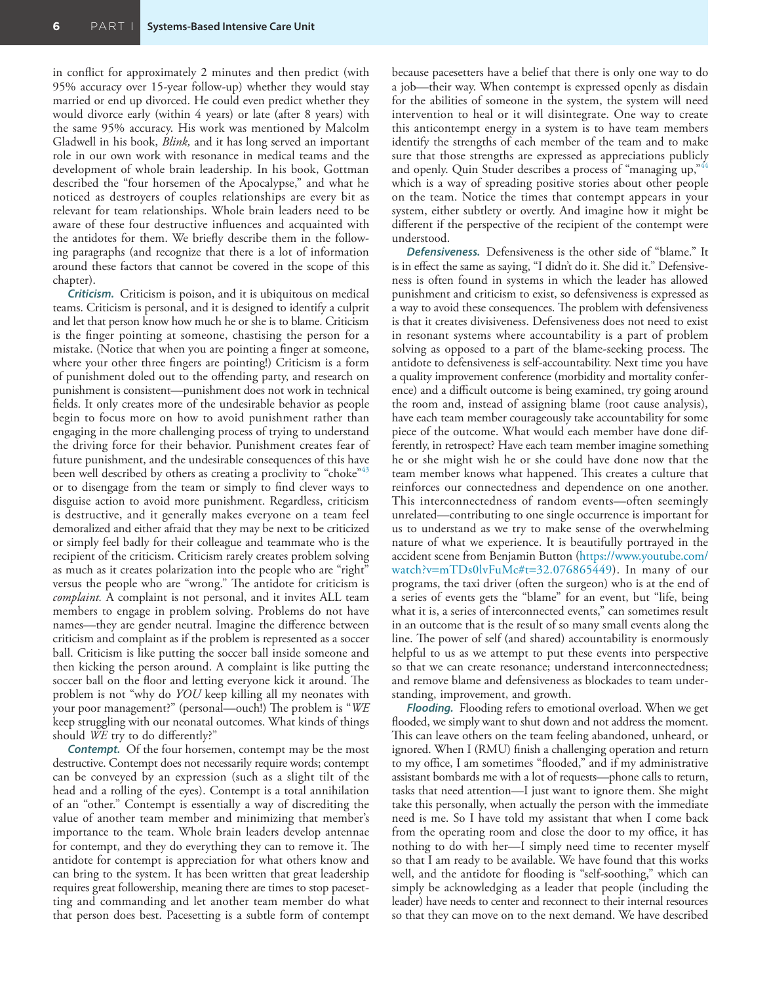in conflict for approximately 2 minutes and then predict (with 95% accuracy over 15-year follow-up) whether they would stay married or end up divorced. He could even predict whether they would divorce early (within 4 years) or late (after 8 years) with the same 95% accuracy. His work was mentioned by Malcolm Gladwell in his book, *Blink,* and it has long served an important role in our own work with resonance in medical teams and the development of whole brain leadership. In his book, Gottman described the "four horsemen of the Apocalypse," and what he noticed as destroyers of couples relationships are every bit as relevant for team relationships. Whole brain leaders need to be aware of these four destructive influences and acquainted with the antidotes for them. We briefly describe them in the following paragraphs (and recognize that there is a lot of information around these factors that cannot be covered in the scope of this chapter).

*Criticism.* Criticism is poison, and it is ubiquitous on medical teams. Criticism is personal, and it is designed to identify a culprit and let that person know how much he or she is to blame. Criticism is the finger pointing at someone, chastising the person for a mistake. (Notice that when you are pointing a finger at someone, where your other three fingers are pointing!) Criticism is a form of punishment doled out to the offending party, and research on punishment is consistent—punishment does not work in technical fields. It only creates more of the undesirable behavior as people begin to focus more on how to avoid punishment rather than engaging in the more challenging process of trying to understand the driving force for their behavior. Punishment creates fear of future punishment, and the undesirable consequences of this have been well described by others as creating a proclivity to "choke"<sup>[43](#page-10-18)</sup> or to disengage from the team or simply to find clever ways to disguise action to avoid more punishment. Regardless, criticism is destructive, and it generally makes everyone on a team feel demoralized and either afraid that they may be next to be criticized or simply feel badly for their colleague and teammate who is the recipient of the criticism. Criticism rarely creates problem solving as much as it creates polarization into the people who are "right" versus the people who are "wrong." The antidote for criticism is *complaint.* A complaint is not personal, and it invites ALL team members to engage in problem solving. Problems do not have names—they are gender neutral. Imagine the difference between criticism and complaint as if the problem is represented as a soccer ball. Criticism is like putting the soccer ball inside someone and then kicking the person around. A complaint is like putting the soccer ball on the floor and letting everyone kick it around. The problem is not "why do *YOU* keep killing all my neonates with your poor management?" (personal—ouch!) The problem is "*WE* keep struggling with our neonatal outcomes. What kinds of things should *WE* try to do differently?"

*Contempt.* Of the four horsemen, contempt may be the most destructive. Contempt does not necessarily require words; contempt can be conveyed by an expression (such as a slight tilt of the head and a rolling of the eyes). Contempt is a total annihilation of an "other." Contempt is essentially a way of discrediting the value of another team member and minimizing that member's importance to the team. Whole brain leaders develop antennae for contempt, and they do everything they can to remove it. The antidote for contempt is appreciation for what others know and can bring to the system. It has been written that great leadership requires great followership, meaning there are times to stop pacesetting and commanding and let another team member do what that person does best. Pacesetting is a subtle form of contempt

because pacesetters have a belief that there is only one way to do a job—their way. When contempt is expressed openly as disdain for the abilities of someone in the system, the system will need intervention to heal or it will disintegrate. One way to create this anticontempt energy in a system is to have team members identify the strengths of each member of the team and to make sure that those strengths are expressed as appreciations publicly and openly. Quin Studer describes a process of "managing up,"<sup>[44](#page-10-19)</sup> which is a way of spreading positive stories about other people on the team. Notice the times that contempt appears in your system, either subtlety or overtly. And imagine how it might be different if the perspective of the recipient of the contempt were understood.

*Defensiveness.* Defensiveness is the other side of "blame." It is in effect the same as saying, "I didn't do it. She did it." Defensiveness is often found in systems in which the leader has allowed punishment and criticism to exist, so defensiveness is expressed as a way to avoid these consequences. The problem with defensiveness is that it creates divisiveness. Defensiveness does not need to exist in resonant systems where accountability is a part of problem solving as opposed to a part of the blame-seeking process. The antidote to defensiveness is self-accountability. Next time you have a quality improvement conference (morbidity and mortality conference) and a difficult outcome is being examined, try going around the room and, instead of assigning blame (root cause analysis), have each team member courageously take accountability for some piece of the outcome. What would each member have done differently, in retrospect? Have each team member imagine something he or she might wish he or she could have done now that the team member knows what happened. This creates a culture that reinforces our connectedness and dependence on one another. This interconnectedness of random events—often seemingly unrelated—contributing to one single occurrence is important for us to understand as we try to make sense of the overwhelming nature of what we experience. It is beautifully portrayed in the accident scene from Benjamin Button [\(https://www.youtube.com/](https://www.youtube.com/watch?v=mTDs0lvFuMc#t=32.076865449) watch?v=[mTDs0lvFuMc#t](https://www.youtube.com/watch?v=mTDs0lvFuMc#t=32.076865449)=32.076865449). In many of our programs, the taxi driver (often the surgeon) who is at the end of a series of events gets the "blame" for an event, but "life, being what it is, a series of interconnected events," can sometimes result in an outcome that is the result of so many small events along the line. The power of self (and shared) accountability is enormously helpful to us as we attempt to put these events into perspective so that we can create resonance; understand interconnectedness; and remove blame and defensiveness as blockades to team understanding, improvement, and growth.

*Flooding.* Flooding refers to emotional overload. When we get flooded, we simply want to shut down and not address the moment. This can leave others on the team feeling abandoned, unheard, or ignored. When I (RMU) finish a challenging operation and return to my office, I am sometimes "flooded," and if my administrative assistant bombards me with a lot of requests—phone calls to return, tasks that need attention—I just want to ignore them. She might take this personally, when actually the person with the immediate need is me. So I have told my assistant that when I come back from the operating room and close the door to my office, it has nothing to do with her—I simply need time to recenter myself so that I am ready to be available. We have found that this works well, and the antidote for flooding is "self-soothing," which can simply be acknowledging as a leader that people (including the leader) have needs to center and reconnect to their internal resources so that they can move on to the next demand. We have described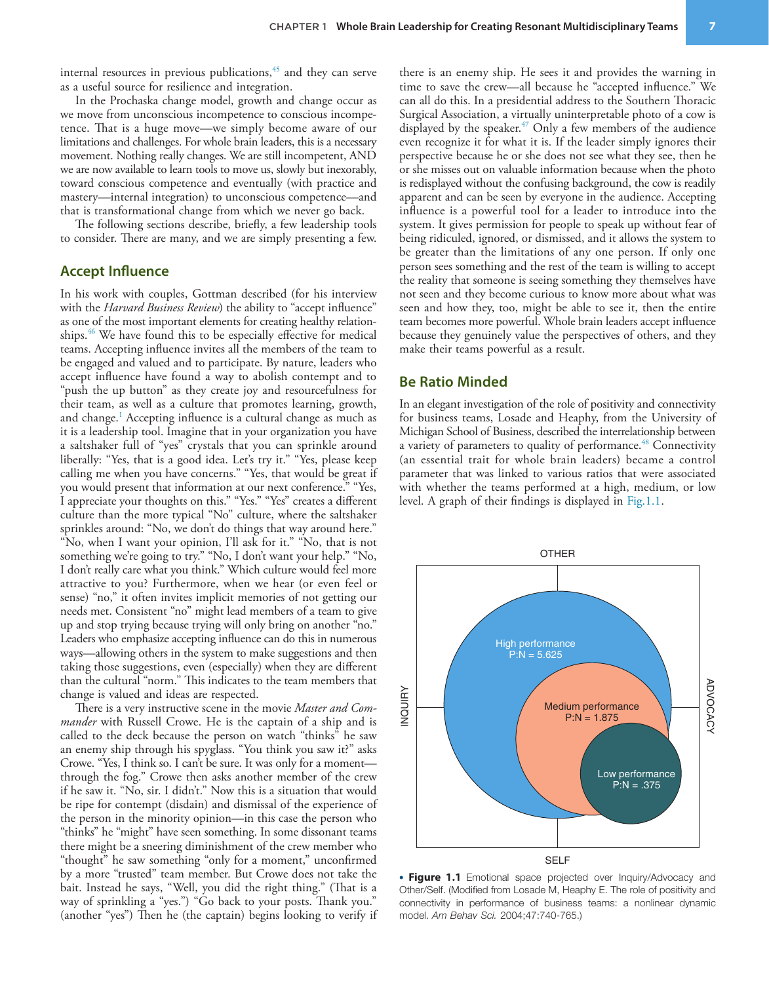internal resources in previous publications,  $45$  and they can serve as a useful source for resilience and integration.

In the Prochaska change model, growth and change occur as we move from unconscious incompetence to conscious incompetence. That is a huge move—we simply become aware of our limitations and challenges. For whole brain leaders, this is a necessary movement. Nothing really changes. We are still incompetent, AND we are now available to learn tools to move us, slowly but inexorably, toward conscious competence and eventually (with practice and mastery—internal integration) to unconscious competence—and that is transformational change from which we never go back.

The following sections describe, briefly, a few leadership tools to consider. There are many, and we are simply presenting a few.

### **Accept Influence**

In his work with couples, Gottman described (for his interview with the *Harvard Business Review*) the ability to "accept influence" as one of the most important elements for creating healthy relationships.<sup>46</sup> We have found this to be especially effective for medical teams. Accepting influence invites all the members of the team to be engaged and valued and to participate. By nature, leaders who accept influence have found a way to abolish contempt and to "push the up button" as they create joy and resourcefulness for their team, as well as a culture that promotes learning, growth, and change.<sup>[1](#page-10-0)</sup> Accepting influence is a cultural change as much as it is a leadership tool. Imagine that in your organization you have a saltshaker full of "yes" crystals that you can sprinkle around liberally: "Yes, that is a good idea. Let's try it." "Yes, please keep calling me when you have concerns." "Yes, that would be great if you would present that information at our next conference." "Yes, I appreciate your thoughts on this." "Yes." "Yes" creates a different culture than the more typical "No" culture, where the saltshaker sprinkles around: "No, we don't do things that way around here." "No, when I want your opinion, I'll ask for it." "No, that is not something we're going to try." "No, I don't want your help." "No, I don't really care what you think." Which culture would feel more attractive to you? Furthermore, when we hear (or even feel or sense) "no," it often invites implicit memories of not getting our needs met. Consistent "no" might lead members of a team to give up and stop trying because trying will only bring on another "no." Leaders who emphasize accepting influence can do this in numerous ways—allowing others in the system to make suggestions and then taking those suggestions, even (especially) when they are different than the cultural "norm." This indicates to the team members that change is valued and ideas are respected.

There is a very instructive scene in the movie *Master and Commander* with Russell Crowe. He is the captain of a ship and is called to the deck because the person on watch "thinks" he saw an enemy ship through his spyglass. "You think you saw it?" asks Crowe. "Yes, I think so. I can't be sure. It was only for a moment through the fog." Crowe then asks another member of the crew if he saw it. "No, sir. I didn't." Now this is a situation that would be ripe for contempt (disdain) and dismissal of the experience of the person in the minority opinion—in this case the person who "thinks" he "might" have seen something. In some dissonant teams there might be a sneering diminishment of the crew member who "thought" he saw something "only for a moment," unconfirmed by a more "trusted" team member. But Crowe does not take the bait. Instead he says, "Well, you did the right thing." (That is a way of sprinkling a "yes.") "Go back to your posts. Thank you." (another "yes") Then he (the captain) begins looking to verify if there is an enemy ship. He sees it and provides the warning in time to save the crew—all because he "accepted influence." We can all do this. In a presidential address to the Southern Thoracic Surgical Association, a virtually uninterpretable photo of a cow is displayed by the speaker. $47$  Only a few members of the audience even recognize it for what it is. If the leader simply ignores their perspective because he or she does not see what they see, then he or she misses out on valuable information because when the photo is redisplayed without the confusing background, the cow is readily apparent and can be seen by everyone in the audience. Accepting influence is a powerful tool for a leader to introduce into the system. It gives permission for people to speak up without fear of being ridiculed, ignored, or dismissed, and it allows the system to be greater than the limitations of any one person. If only one person sees something and the rest of the team is willing to accept the reality that someone is seeing something they themselves have not seen and they become curious to know more about what was seen and how they, too, might be able to see it, then the entire team becomes more powerful. Whole brain leaders accept influence because they genuinely value the perspectives of others, and they make their teams powerful as a result.

#### **Be Ratio Minded**

In an elegant investigation of the role of positivity and connectivity for business teams, Losade and Heaphy, from the University of Michigan School of Business, described the interrelationship between a variety of parameters to quality of performance.<sup>48</sup> Connectivity (an essential trait for whole brain leaders) became a control parameter that was linked to various ratios that were associated with whether the teams performed at a high, medium, or low level. A graph of their findings is displayed in [Fig.1.1](#page-6-0).



<span id="page-6-0"></span>**• Figure 1.1** Emotional space projected over Inquiry/Advocacy and Other/Self. (Modified from Losade M, Heaphy E. The role of positivity and connectivity in performance of business teams: a nonlinear dynamic model. *Am Behav Sci.* 2004;47:740-765.)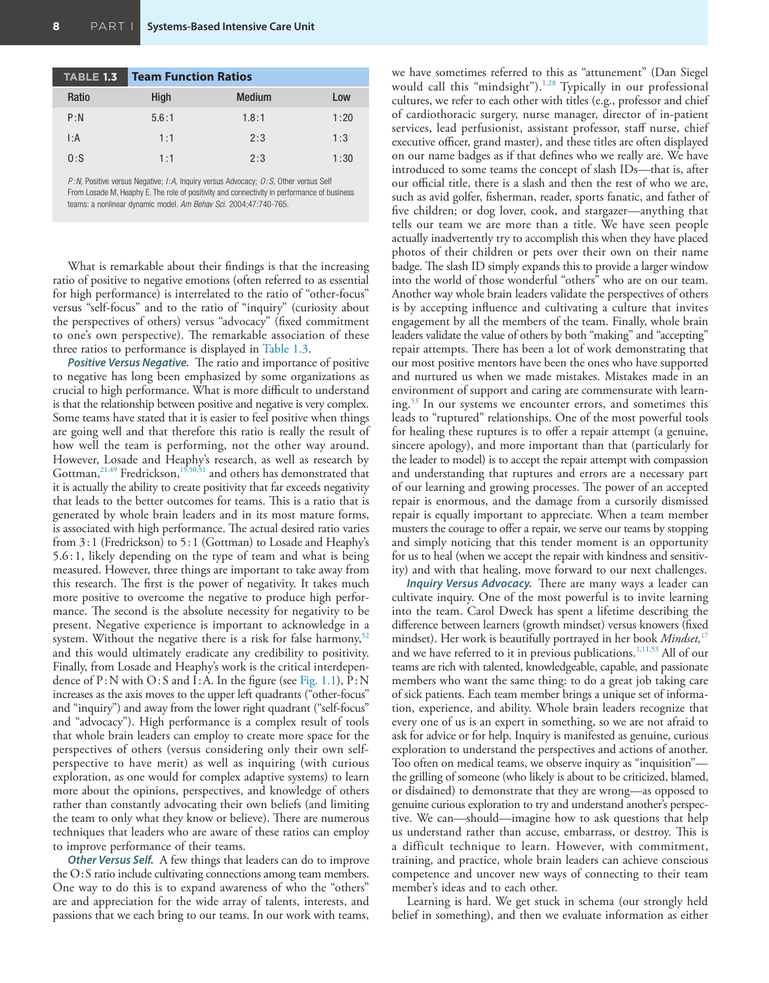<span id="page-7-0"></span>

| <b>TABLE 1.3</b> | <b>Team Function Ratios</b> |               |      |
|------------------|-----------------------------|---------------|------|
| Ratio            | <b>High</b>                 | <b>Medium</b> | Low  |
| P: N             | 5.6:1                       | 1.8:1         | 1:20 |
| l:A              | 1:1                         | 2:3           | 1:3  |
| $0:$ S           | 1:1                         | 2:3           | 1:30 |

*P :N,* Positive versus Negative; *I :A,* Inquiry versus Advocacy; *O:S,* Other versus Self From Losade M, Heaphy E. The role of positivity and connectivity in performance of business teams: a nonlinear dynamic model. *Am Behav Sci.* 2004;47:740-765.

What is remarkable about their findings is that the increasing ratio of positive to negative emotions (often referred to as essential for high performance) is interrelated to the ratio of "other-focus" versus "self-focus" and to the ratio of "inquiry" (curiosity about the perspectives of others) versus "advocacy" (fixed commitment to one's own perspective). The remarkable association of these three ratios to performance is displayed in [Table 1.3](#page-7-0).

*Positive Versus Negative.* The ratio and importance of positive to negative has long been emphasized by some organizations as crucial to high performance. What is more difficult to understand is that the relationship between positive and negative is very complex. Some teams have stated that it is easier to feel positive when things are going well and that therefore this ratio is really the result of how well the team is performing, not the other way around. However, Losade and Heaphy's research, as well as research by Gottman,<sup>[21,49](#page-10-24)</sup> Fredrickson,<sup>19,50,51</sup> and others has demonstrated that it is actually the ability to create positivity that far exceeds negativity that leads to the better outcomes for teams. This is a ratio that is generated by whole brain leaders and in its most mature forms, is associated with high performance. The actual desired ratio varies from 3:1 (Fredrickson) to 5:1 (Gottman) to Losade and Heaphy's 5.6 : 1, likely depending on the type of team and what is being measured. However, three things are important to take away from this research. The first is the power of negativity. It takes much more positive to overcome the negative to produce high performance. The second is the absolute necessity for negativity to be present. Negative experience is important to acknowledge in a system. Without the negative there is a risk for false harmony,  $52$ and this would ultimately eradicate any credibility to positivity. Finally, from Losade and Heaphy's work is the critical interdependence of P:N with O:S and I:A. In the figure (see [Fig. 1.1\)](#page-6-0), P:N increases as the axis moves to the upper left quadrants ("other-focus" and "inquiry") and away from the lower right quadrant ("self-focus" and "advocacy"). High performance is a complex result of tools that whole brain leaders can employ to create more space for the perspectives of others (versus considering only their own selfperspective to have merit) as well as inquiring (with curious exploration, as one would for complex adaptive systems) to learn more about the opinions, perspectives, and knowledge of others rather than constantly advocating their own beliefs (and limiting the team to only what they know or believe). There are numerous techniques that leaders who are aware of these ratios can employ to improve performance of their teams.

*Other Versus Self.* A few things that leaders can do to improve the O:S ratio include cultivating connections among team members. One way to do this is to expand awareness of who the "others" are and appreciation for the wide array of talents, interests, and passions that we each bring to our teams. In our work with teams,

we have sometimes referred to this as "attunement" (Dan Siegel would call this "mindsight").<sup>1,28</sup> Typically in our professional cultures, we refer to each other with titles (e.g., professor and chief of cardiothoracic surgery, nurse manager, director of in-patient services, lead perfusionist, assistant professor, staff nurse, chief executive officer, grand master), and these titles are often displayed on our name badges as if that defines who we really are. We have introduced to some teams the concept of slash IDs—that is, after our official title, there is a slash and then the rest of who we are, such as avid golfer, fisherman, reader, sports fanatic, and father of five children; or dog lover, cook, and stargazer—anything that tells our team we are more than a title. We have seen people actually inadvertently try to accomplish this when they have placed photos of their children or pets over their own on their name badge. The slash ID simply expands this to provide a larger window into the world of those wonderful "others" who are on our team. Another way whole brain leaders validate the perspectives of others is by accepting influence and cultivating a culture that invites engagement by all the members of the team. Finally, whole brain leaders validate the value of others by both "making" and "accepting" repair attempts. There has been a lot of work demonstrating that our most positive mentors have been the ones who have supported and nurtured us when we made mistakes. Mistakes made in an environment of support and caring are commensurate with learn-ing.<sup>[53](#page-10-27)</sup> In our systems we encounter errors, and sometimes this leads to "ruptured" relationships. One of the most powerful tools for healing these ruptures is to offer a repair attempt (a genuine, sincere apology), and more important than that (particularly for the leader to model) is to accept the repair attempt with compassion and understanding that ruptures and errors are a necessary part of our learning and growing processes. The power of an accepted repair is enormous, and the damage from a cursorily dismissed repair is equally important to appreciate. When a team member musters the courage to offer a repair, we serve our teams by stopping and simply noticing that this tender moment is an opportunity for us to heal (when we accept the repair with kindness and sensitivity) and with that healing, move forward to our next challenges.

*Inquiry Versus Advocacy.* There are many ways a leader can cultivate inquiry. One of the most powerful is to invite learning into the team. Carol Dweck has spent a lifetime describing the difference between learners (growth mindset) versus knowers (fixed mindset). Her work is beautifully portrayed in her book *Mindset*,<sup>[17](#page-10-28)</sup> and we have referred to it in previous publications.<sup>[1,11,53](#page-10-0)</sup> All of our teams are rich with talented, knowledgeable, capable, and passionate members who want the same thing: to do a great job taking care of sick patients. Each team member brings a unique set of information, experience, and ability. Whole brain leaders recognize that every one of us is an expert in something, so we are not afraid to ask for advice or for help. Inquiry is manifested as genuine, curious exploration to understand the perspectives and actions of another. Too often on medical teams, we observe inquiry as "inquisition" the grilling of someone (who likely is about to be criticized, blamed, or disdained) to demonstrate that they are wrong—as opposed to genuine curious exploration to try and understand another's perspective. We can—should—imagine how to ask questions that help us understand rather than accuse, embarrass, or destroy. This is a difficult technique to learn. However, with commitment, training, and practice, whole brain leaders can achieve conscious competence and uncover new ways of connecting to their team member's ideas and to each other.

Learning is hard. We get stuck in schema (our strongly held belief in something), and then we evaluate information as either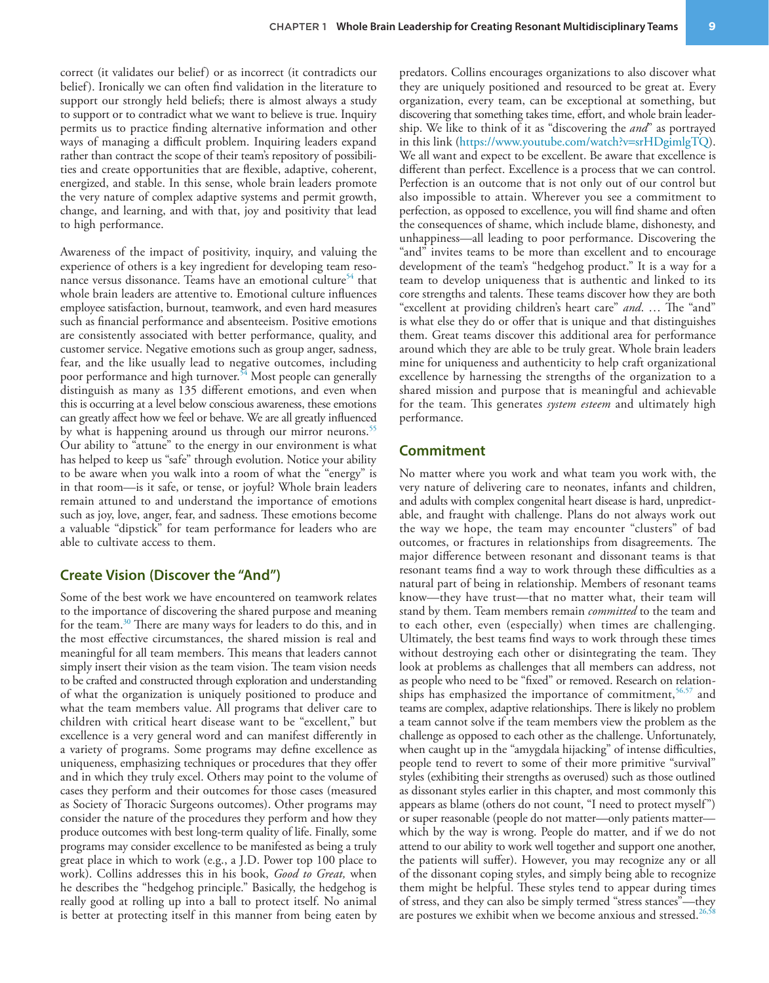correct (it validates our belief) or as incorrect (it contradicts our belief). Ironically we can often find validation in the literature to support our strongly held beliefs; there is almost always a study to support or to contradict what we want to believe is true. Inquiry permits us to practice finding alternative information and other ways of managing a difficult problem. Inquiring leaders expand rather than contract the scope of their team's repository of possibilities and create opportunities that are flexible, adaptive, coherent, energized, and stable. In this sense, whole brain leaders promote the very nature of complex adaptive systems and permit growth, change, and learning, and with that, joy and positivity that lead to high performance.

Awareness of the impact of positivity, inquiry, and valuing the experience of others is a key ingredient for developing team resonance versus dissonance. Teams have an emotional culture<sup>54</sup> that whole brain leaders are attentive to. Emotional culture influences employee satisfaction, burnout, teamwork, and even hard measures such as financial performance and absenteeism. Positive emotions are consistently associated with better performance, quality, and customer service. Negative emotions such as group anger, sadness, fear, and the like usually lead to negative outcomes, including poor performance and high turnover.<sup>[54](#page-10-29)</sup> Most people can generally distinguish as many as 135 different emotions, and even when this is occurring at a level below conscious awareness, these emotions can greatly affect how we feel or behave. We are all greatly influenced by what is happening around us through our mirror neurons.<sup>[55](#page-10-30)</sup> Our ability to "attune" to the energy in our environment is what has helped to keep us "safe" through evolution. Notice your ability to be aware when you walk into a room of what the "energy" is in that room—is it safe, or tense, or joyful? Whole brain leaders remain attuned to and understand the importance of emotions such as joy, love, anger, fear, and sadness. These emotions become a valuable "dipstick" for team performance for leaders who are able to cultivate access to them.

# **Create Vision (Discover the "And")**

Some of the best work we have encountered on teamwork relates to the importance of discovering the shared purpose and meaning for the team.[30](#page-10-31) There are many ways for leaders to do this, and in the most effective circumstances, the shared mission is real and meaningful for all team members. This means that leaders cannot simply insert their vision as the team vision. The team vision needs to be crafted and constructed through exploration and understanding of what the organization is uniquely positioned to produce and what the team members value. All programs that deliver care to children with critical heart disease want to be "excellent," but excellence is a very general word and can manifest differently in a variety of programs. Some programs may define excellence as uniqueness, emphasizing techniques or procedures that they offer and in which they truly excel. Others may point to the volume of cases they perform and their outcomes for those cases (measured as Society of Thoracic Surgeons outcomes). Other programs may consider the nature of the procedures they perform and how they produce outcomes with best long-term quality of life. Finally, some programs may consider excellence to be manifested as being a truly great place in which to work (e.g., a J.D. Power top 100 place to work). Collins addresses this in his book, *Good to Great,* when he describes the "hedgehog principle." Basically, the hedgehog is really good at rolling up into a ball to protect itself. No animal is better at protecting itself in this manner from being eaten by

predators. Collins encourages organizations to also discover what they are uniquely positioned and resourced to be great at. Every organization, every team, can be exceptional at something, but discovering that something takes time, effort, and whole brain leadership. We like to think of it as "discovering the *and*" as portrayed in this link ([https://www.youtube.com/watch?v](https://www.youtube.com/watch?v=srHDgimlgTQ)=srHDgimlgTQ). We all want and expect to be excellent. Be aware that excellence is different than perfect. Excellence is a process that we can control. Perfection is an outcome that is not only out of our control but also impossible to attain. Wherever you see a commitment to perfection, as opposed to excellence, you will find shame and often the consequences of shame, which include blame, dishonesty, and unhappiness—all leading to poor performance. Discovering the "and" invites teams to be more than excellent and to encourage development of the team's "hedgehog product." It is a way for a team to develop uniqueness that is authentic and linked to its core strengths and talents. These teams discover how they are both "excellent at providing children's heart care" *and*. … The "and" is what else they do or offer that is unique and that distinguishes them. Great teams discover this additional area for performance around which they are able to be truly great. Whole brain leaders mine for uniqueness and authenticity to help craft organizational excellence by harnessing the strengths of the organization to a shared mission and purpose that is meaningful and achievable for the team. This generates *system esteem* and ultimately high performance.

#### **Commitment**

No matter where you work and what team you work with, the very nature of delivering care to neonates, infants and children, and adults with complex congenital heart disease is hard, unpredictable, and fraught with challenge. Plans do not always work out the way we hope, the team may encounter "clusters" of bad outcomes, or fractures in relationships from disagreements. The major difference between resonant and dissonant teams is that resonant teams find a way to work through these difficulties as a natural part of being in relationship. Members of resonant teams know—they have trust—that no matter what, their team will stand by them. Team members remain *committed* to the team and to each other, even (especially) when times are challenging. Ultimately, the best teams find ways to work through these times without destroying each other or disintegrating the team. They look at problems as challenges that all members can address, not as people who need to be "fixed" or removed. Research on relationships has emphasized the importance of commitment,  $56,57$  and teams are complex, adaptive relationships. There is likely no problem a team cannot solve if the team members view the problem as the challenge as opposed to each other as the challenge. Unfortunately, when caught up in the "amygdala hijacking" of intense difficulties, people tend to revert to some of their more primitive "survival" styles (exhibiting their strengths as overused) such as those outlined as dissonant styles earlier in this chapter, and most commonly this appears as blame (others do not count, "I need to protect myself") or super reasonable (people do not matter—only patients matter which by the way is wrong. People do matter, and if we do not attend to our ability to work well together and support one another, the patients will suffer). However, you may recognize any or all of the dissonant coping styles, and simply being able to recognize them might be helpful. These styles tend to appear during times of stress, and they can also be simply termed "stress stances"—they are postures we exhibit when we become anxious and stressed.<sup>[26,58](#page-10-33)</sup>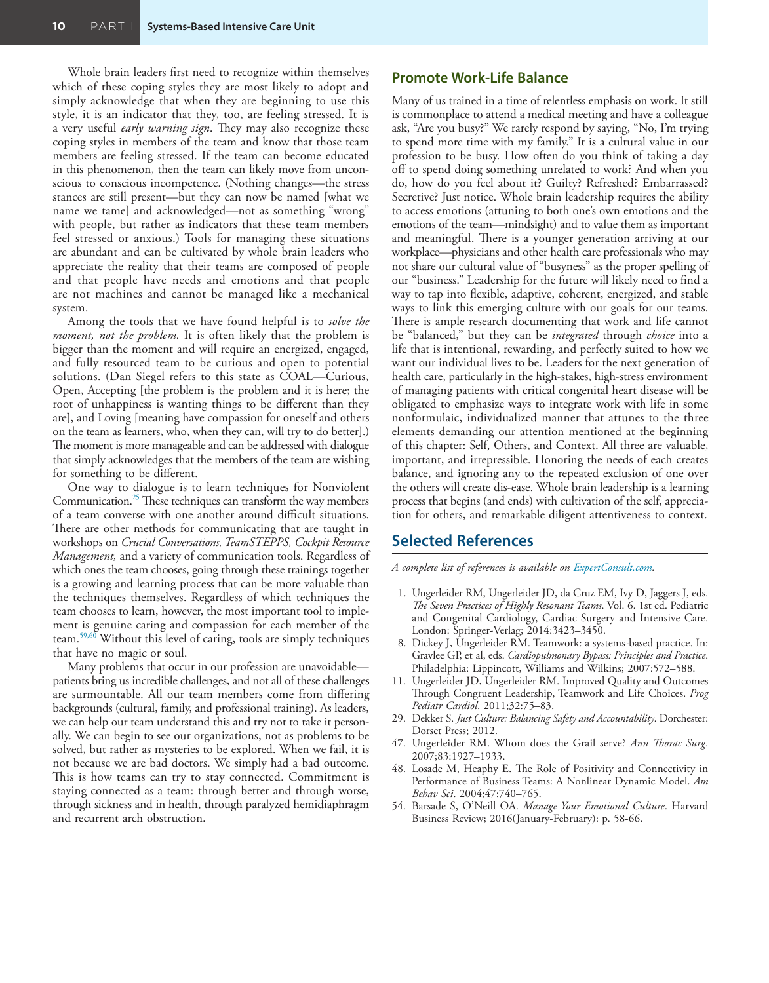Whole brain leaders first need to recognize within themselves which of these coping styles they are most likely to adopt and simply acknowledge that when they are beginning to use this style, it is an indicator that they, too, are feeling stressed. It is a very useful *early warning sign*. They may also recognize these coping styles in members of the team and know that those team members are feeling stressed. If the team can become educated in this phenomenon, then the team can likely move from unconscious to conscious incompetence. (Nothing changes—the stress stances are still present—but they can now be named [what we name we tame] and acknowledged—not as something "wrong" with people, but rather as indicators that these team members feel stressed or anxious.) Tools for managing these situations are abundant and can be cultivated by whole brain leaders who appreciate the reality that their teams are composed of people and that people have needs and emotions and that people are not machines and cannot be managed like a mechanical system.

Among the tools that we have found helpful is to *solve the moment, not the problem.* It is often likely that the problem is bigger than the moment and will require an energized, engaged, and fully resourced team to be curious and open to potential solutions. (Dan Siegel refers to this state as COAL—Curious, Open, Accepting [the problem is the problem and it is here; the root of unhappiness is wanting things to be different than they are], and Loving [meaning have compassion for oneself and others on the team as learners, who, when they can, will try to do better].) The moment is more manageable and can be addressed with dialogue that simply acknowledges that the members of the team are wishing for something to be different.

One way to dialogue is to learn techniques for Nonviolent Communication.<sup>25</sup> These techniques can transform the way members of a team converse with one another around difficult situations. There are other methods for communicating that are taught in workshops on *Crucial Conversations, TeamSTEPPS, Cockpit Resource Management,* and a variety of communication tools. Regardless of which ones the team chooses, going through these trainings together is a growing and learning process that can be more valuable than the techniques themselves. Regardless of which techniques the team chooses to learn, however, the most important tool to implement is genuine caring and compassion for each member of the team.<sup>59,60</sup> Without this level of caring, tools are simply techniques that have no magic or soul.

Many problems that occur in our profession are unavoidable patients bring us incredible challenges, and not all of these challenges are surmountable. All our team members come from differing backgrounds (cultural, family, and professional training). As leaders, we can help our team understand this and try not to take it personally. We can begin to see our organizations, not as problems to be solved, but rather as mysteries to be explored. When we fail, it is not because we are bad doctors. We simply had a bad outcome. This is how teams can try to stay connected. Commitment is staying connected as a team: through better and through worse, through sickness and in health, through paralyzed hemidiaphragm and recurrent arch obstruction.

# **Promote Work-Life Balance**

Many of us trained in a time of relentless emphasis on work. It still is commonplace to attend a medical meeting and have a colleague ask, "Are you busy?" We rarely respond by saying, "No, I'm trying to spend more time with my family." It is a cultural value in our profession to be busy. How often do you think of taking a day off to spend doing something unrelated to work? And when you do, how do you feel about it? Guilty? Refreshed? Embarrassed? Secretive? Just notice. Whole brain leadership requires the ability to access emotions (attuning to both one's own emotions and the emotions of the team—mindsight) and to value them as important and meaningful. There is a younger generation arriving at our workplace—physicians and other health care professionals who may not share our cultural value of "busyness" as the proper spelling of our "business." Leadership for the future will likely need to find a way to tap into flexible, adaptive, coherent, energized, and stable ways to link this emerging culture with our goals for our teams. There is ample research documenting that work and life cannot be "balanced," but they can be *integrated* through *choice* into a life that is intentional, rewarding, and perfectly suited to how we want our individual lives to be. Leaders for the next generation of health care, particularly in the high-stakes, high-stress environment of managing patients with critical congenital heart disease will be obligated to emphasize ways to integrate work with life in some nonformulaic, individualized manner that attunes to the three elements demanding our attention mentioned at the beginning of this chapter: Self, Others, and Context. All three are valuable, important, and irrepressible. Honoring the needs of each creates balance, and ignoring any to the repeated exclusion of one over the others will create dis-ease. Whole brain leadership is a learning process that begins (and ends) with cultivation of the self, appreciation for others, and remarkable diligent attentiveness to context.

# **Selected References**

*A complete list of references is available on [ExpertConsult.com](http://expertconsult.com/).*

- 1. Ungerleider RM, Ungerleider JD, da Cruz EM, Ivy D, Jaggers J, eds. *The Seven Practices of Highly Resonant Teams*. Vol. 6. 1st ed. Pediatric and Congenital Cardiology, Cardiac Surgery and Intensive Care. London: Springer-Verlag; 2014:3423–3450.
- 8. Dickey J, Ungerleider RM. Teamwork: a systems-based practice. In: Gravlee GP, et al, eds. *Cardiopulmonary Bypass: Principles and Practice*. Philadelphia: Lippincott, Williams and Wilkins; 2007:572–588.
- 11. Ungerleider JD, Ungerleider RM. Improved Quality and Outcomes Through Congruent Leadership, Teamwork and Life Choices. *Prog Pediatr Cardiol*. 2011;32:75–83.
- 29. Dekker S. *Just Culture: Balancing Safety and Accountability*. Dorchester: Dorset Press; 2012.
- 47. Ungerleider RM. Whom does the Grail serve? *Ann Thorac Surg*. 2007;83:1927–1933.
- 48. Losade M, Heaphy E. The Role of Positivity and Connectivity in Performance of Business Teams: A Nonlinear Dynamic Model. *Am Behav Sci*. 2004;47:740–765.
- 54. Barsade S, O'Neill OA. *Manage Your Emotional Culture*. Harvard Business Review; 2016(January-February): p. 58-66.